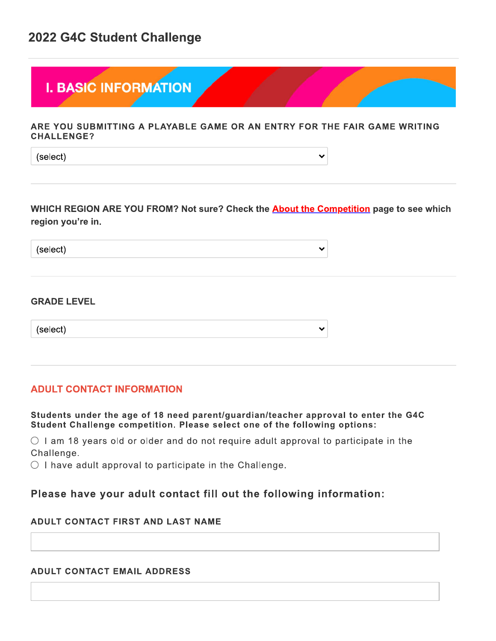## 2022 G4C Student Challenge

# **I. BASIC INFORMATION**

#### ARE YOU SUBMITTING A PLAYABLE GAME OR AN ENTRY FOR THE FAIR GAME WRITING **CHALLENGE?**

 $\checkmark$ 

 $\checkmark$ 

 $\checkmark$ 

(select)

## WHICH REGION ARE YOU FROM? Not sure? Check the **About the Competition** page to see which region you're in.

(select)

#### **GRADE LEVEL**

(select)

## **ADULT CONTACT INFORMATION**

Students under the age of 18 need parent/guardian/teacher approval to enter the G4C Student Challenge competition. Please select one of the following options:

 $\circ$  I am 18 years old or older and do not require adult approval to participate in the Challenge.

 $\circlearrowright$  I have adult approval to participate in the Challenge.

## Please have your adult contact fill out the following information:

## **ADULT CONTACT FIRST AND LAST NAME**

## **ADULT CONTACT EMAIL ADDRESS**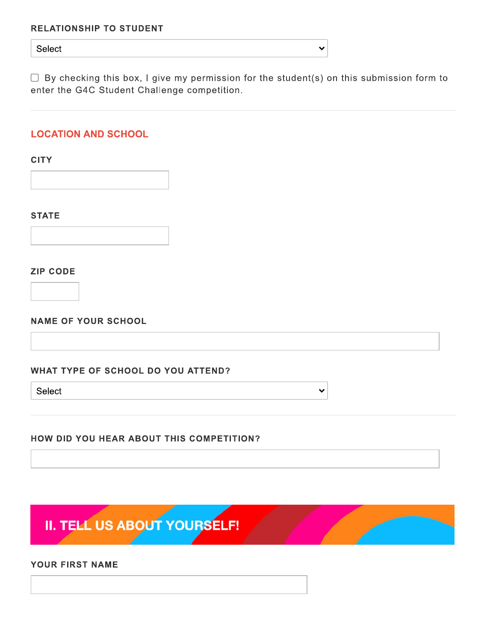Select

 $\Box$  By checking this box, I give my permission for the student(s) on this submission form to enter the G4C Student Challenge competition.

 $\checkmark$ 

 $\checkmark$ 

## **LOCATION AND SCHOOL**

**CITY** 

**STATE** 

**ZIP CODE** 

**NAME OF YOUR SCHOOL** 

## WHAT TYPE OF SCHOOL DO YOU ATTEND?

Select

HOW DID YOU HEAR ABOUT THIS COMPETITION?

II. TELL US ABOUT YOURSELF!

YOUR FIRST NAME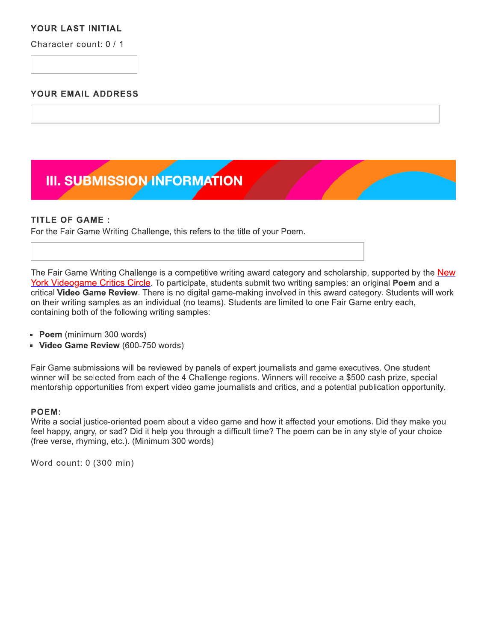## YOUR LAST INITIAL

Character count: 0 / 1

## YOUR EMAIL ADDRESS

## **III. SUBMISSION INFORMATION**

#### **TITLE OF GAME:**

For the Fair Game Writing Challenge, this refers to the title of your Poem.

The Fair Game Writing Challenge is a competitive writing award category and scholarship, supported by the New York Videogame Critics Circle. To participate, students submit two writing samples: an original Poem and a critical Video Game Review. There is no digital game-making involved in this award category. Students will work on their writing samples as an individual (no teams). Students are limited to one Fair Game entry each, containing both of the following writing samples:

- Poem (minimum 300 words)
- Video Game Review (600-750 words)

Fair Game submissions will be reviewed by panels of expert journalists and game executives. One student winner will be selected from each of the 4 Challenge regions. Winners will receive a \$500 cash prize, special mentorship opportunities from expert video game journalists and critics, and a potential publication opportunity.

#### POEM:

Write a social justice-oriented poem about a video game and how it affected your emotions. Did they make you feel happy, angry, or sad? Did it help you through a difficult time? The poem can be in any style of your choice (free verse, rhyming, etc.). (Minimum 300 words)

Word count: 0 (300 min)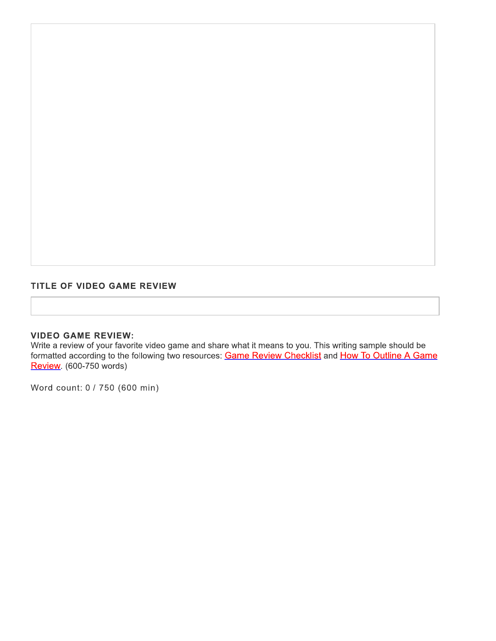## TITLE OF VIDEO GAME REVIEW

## **VIDEO GAME REVIEW:**

Write a review of your favorite video game and share what it means to you. This writing sample should be formatted according to the following two resources: Game Review Checklist and How To Outline A Game Review. (600-750 words)

Word count: 0 / 750 (600 min)